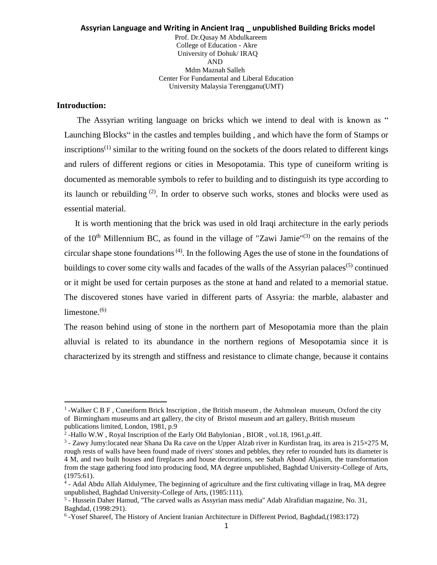#### **Assyrian Language and Writing in Ancient Iraq \_ unpublished Building Bricks model** Prof. Dr.Qusay M Abdulkareem College of Education - Akre University of Dohuk/ IRAQ AND Mdm Maznah Salleh Center For Fundamental and Liberal Education University Malaysia Terengganu(UMT)

#### **Introduction:**

l

The Assyrian writing language on bricks which we intend to deal with is known as " Launching Blocks" in the castles and temples building , and which have the form of Stamps or inscriptions<sup> $(1)$ </sup> similar to the writing found on the sockets of the doors related to different kings and rulers of different regions or cities in Mesopotamia. This type of cuneiform writing is documented as memorable symbols to refer to building and to distinguish its type according to its launch or rebuilding  $(2)$ . In order to observe such works, stones and blocks were used as essential material.

 It is worth mentioning that the brick was used in old Iraqi architecture in the early periods of the  $10<sup>th</sup>$  Millennium BC, as found in the village of "Zawi Jamie"<sup>(3)</sup> on the remains of the circular shape stone foundations<sup> $(4)$ </sup>. In the following Ages the use of stone in the foundations of buildings to cover some city walls and facades of the walls of the Assyrian palaces<sup>(5)</sup> continued or it might be used for certain purposes as the stone at hand and related to a memorial statue. The discovered stones have varied in different parts of Assyria: the marble, alabaster and limestone.<sup>(6)</sup>

The reason behind using of stone in the northern part of Mesopotamia more than the plain alluvial is related to its abundance in the northern regions of Mesopotamia since it is characterized by its strength and stiffness and resistance to climate change, because it contains

<sup>&</sup>lt;sup>1</sup>-Walker C B F, Cuneiform Brick Inscription, the British museum, the Ashmolean museum, Oxford the city of Birmingham museums and art gallery, the city of Bristol museum and art gallery, British museum publications limited, London, 1981, p.9

<sup>&</sup>lt;sup>2</sup>-Hallo W.W, Royal Inscription of the Early Old Babylonian, BIOR, vol.18, 1961,p.4ff.

<sup>&</sup>lt;sup>3</sup> - Zawy Jumy: located near Shana Da Ra cave on the Upper Alzab river in Kurdistan Iraq, its area is 215×275 M, rough rests of walls have been found made of rivers' stones and pebbles, they refer to rounded huts its diameter is 4 M, and two built houses and fireplaces and house decorations, see Sabah Abood Aljasim, the transformation from the stage gathering food into producing food, MA degree unpublished, Baghdad University-College of Arts, (1975:61).

<sup>&</sup>lt;sup>4</sup> - Adal Abdu Allah Aldulymee, The beginning of agriculture and the first cultivating village in Iraq, MA degree unpublished, Baghdad University-College of Arts, (1985:111).

<sup>5</sup> - Hussein Daher Hamud, ''The carved walls as Assyrian mass media'' Adab Alrafidian magazine, No. 31, Baghdad, (1998:291).

<sup>6</sup> -Yosef Shareef, The History of Ancient Iranian Architecture in Different Period, Baghdad,(1983:172)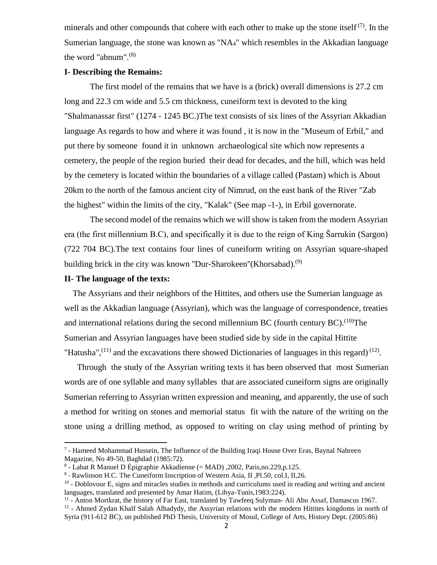minerals and other compounds that cohere with each other to make up the stone itself<sup> $(7)$ </sup>. In the Sumerian language, the stone was known as " $NA<sub>4</sub>$ " which resembles in the Akkadian language the word "abnum".(8)

#### **I- Describing the Remains:**

The first model of the remains that we have is a (brick) overall dimensions is 27.2 cm long and 22.3 cm wide and 5.5 cm thickness, cuneiform text is devoted to the king "Shalmanassar first" (1274 - 1245 BC.)The text consists of six lines of the Assyrian Akkadian language As regards to how and where it was found , it is now in the "Museum of Erbil," and put there by someone found it in unknown archaeological site which now represents a cemetery, the people of the region buried their dead for decades, and the hill, which was held by the cemetery is located within the boundaries of a village called (Pastam) which is About 20km to the north of the famous ancient city of Nimrud, on the east bank of the River "Zab the highest" within the limits of the city, "Kalak" (See map -1-), in Erbil governorate.

The second model of the remains which we will show is taken from the modern Assyrian era (the first millennium B.C), and specifically it is due to the reign of King Šarrukin (Sargon) (722 704 BC).The text contains four lines of cuneiform writing on Assyrian square-shaped building brick in the city was known "Dur-Sharokeen"(Khorsabad).<sup>(9)</sup>

## **II- The language of the texts:**

 $\overline{a}$ 

 The Assyrians and their neighbors of the Hittites, and others use the Sumerian language as well as the Akkadian language (Assyrian), which was the language of correspondence, treaties and international relations during the second millennium BC (fourth century BC).  $^{(10)}$ The Sumerian and Assyrian languages have been studied side by side in the capital Hittite "Hatusha", $(11)$  and the excavations there showed Dictionaries of languages in this regard) $(12)$ .

 Through the study of the Assyrian writing texts it has been observed that most Sumerian words are of one syllable and many syllables that are associated cuneiform signs are originally Sumerian referring to Assyrian written expression and meaning, and apparently, the use of such a method for writing on stones and memorial status fit with the nature of the writing on the stone using a drilling method, as opposed to writing on clay using method of printing by

<sup>&</sup>lt;sup>7</sup> - Hameed Mohammad Hussein, The Influence of the Building Iraqi House Over Eras, Baynal Nahreen Magazine, No 49-50, Baghdad (1985:72).

<sup>8</sup> - Labat R Manuel D Épigraphie Akkadienne (= MAD) ,2002, Paris,no.229,p.125.

<sup>&</sup>lt;sup>9</sup> - Rawlinson H.C. The Cuneiform Inscription of Western Asia, II , Pl.50, col.I, II, 26.

<sup>&</sup>lt;sup>10</sup> - Doblovour E, signs and miracles studies in methods and curriculums used in reading and writing and ancient languages, translated and presented by Amar Hatim, (Libya-Tunis,1983:224).

<sup>&</sup>lt;sup>11</sup> - Anton Mortkrat, the history of Far East, translated by Tawfeeq Sulyman- Ali Abu Assaf, Damascus 1967.

<sup>&</sup>lt;sup>12</sup> - Ahmed Zydan Khalf Salah Alhadydy, the Assyrian relations with the modern Hittites kingdoms in north of Syria (911-612 BC), un published PhD Thesis, University of Mosul, College of Arts, History Dept. (2005:86)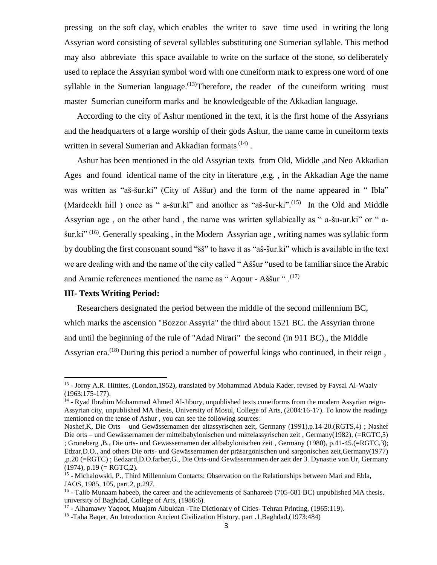pressing on the soft clay, which enables the writer to save time used in writing the long Assyrian word consisting of several syllables substituting one Sumerian syllable. This method may also abbreviate this space available to write on the surface of the stone, so deliberately used to replace the Assyrian symbol word with one cuneiform mark to express one word of one syllable in the Sumerian language.<sup> $(13)$ </sup>Therefore, the reader of the cuneiform writing must master Sumerian cuneiform marks and be knowledgeable of the Akkadian language.

 According to the city of Ashur mentioned in the text, it is the first home of the Assyrians and the headquarters of a large worship of their gods Ashur, the name came in cuneiform texts written in several Sumerian and Akkadian formats<sup>(14)</sup>.

 Ashur has been mentioned in the old Assyrian texts from Old, Middle ,and Neo Akkadian Ages and found identical name of the city in literature ,e.g. , in the Akkadian Age the name was written as "aš-šur.ki" (City of Aššur) and the form of the name appeared in "Ibla" (Mardeekh hill) once as " a-šur.ki" and another as "aš-šur-ki".<sup>(15)</sup> In the Old and Middle Assyrian age , on the other hand , the name was written syllabically as " a-šu-ur.ki" or " ašur.ki"<sup>(16)</sup>. Generally speaking, in the Modern Assyrian age, writing names was syllabic form by doubling the first consonant sound "šš" to have it as "aš-šur.ki" which is available in the text we are dealing with and the name of the city called " Aššur "used to be familiar since the Arabic and Aramic references mentioned the name as "Aqour - Aššur ".<sup>(17)</sup>

### **III- Texts Writing Period:**

 $\overline{\phantom{a}}$ 

 Researchers designated the period between the middle of the second millennium BC, which marks the ascension "Bozzor Assyria" the third about 1521 BC. the Assyrian throne and until the beginning of the rule of "Adad Nirari" the second (in 911 BC)., the Middle Assyrian era.<sup>(18)</sup> During this period a number of powerful kings who continued, in their reign,

<sup>&</sup>lt;sup>13</sup> - Jorny A.R. Hittites, (London,1952), translated by Mohammad Abdula Kader, revised by Faysal Al-Waaly (1963:175-177).

<sup>&</sup>lt;sup>14</sup> - Ryad Ibrahim Mohammad Ahmed Al-Jibory, unpublished texts cuneiforms from the modern Assyrian reign-Assyrian city, unpublished MA thesis, University of Mosul, College of Arts, (2004:16-17). To know the readings mentioned on the tense of Ashur , you can see the following sources:

Nashef,K, Die Orts – und Gewässernamen der altassyrischen zeit, Germany (1991),p.14-20.(RGTS,4) ; Nashef Die orts – und Gewässernamen der mittelbabylonischen und mittelassyrischen zeit , Germany(1982), (=RGTC,5) ; Groneberg ,B., Die orts- und Gewässernamen der altbabylonischen zeit , Germany (1980), p.41-45.(=RGTC,3); Edzar,D.O., and others Die orts- und Gewässernamen der präsargonischen und sargonischen zeit,Germany(1977) ,p.20 (=RGTC) ; Eedzard,D.O.farber,G., Die Orts-und Gewässernamen der zeit der 3. Dynastie von Ur, Germany  $(1974)$ , p.19 (= RGTC,2).

<sup>&</sup>lt;sup>15</sup> - Michalowski, P., Third Millennium Contacts: Observation on the Relationships between Mari and Ebla, JAOS, 1985, 105, part.2, p.297.

<sup>&</sup>lt;sup>16</sup> - Talib Munaam habeeb, the career and the achievements of Sanhareeb (705-681 BC) unpublished MA thesis, university of Baghdad, College of Arts, (1986:6).

<sup>&</sup>lt;sup>17</sup> - Alhamawy Yaqoot, Muajam Albuldan -The Dictionary of Cities- Tehran Printing, (1965:119).

<sup>&</sup>lt;sup>18</sup> -Taha Baqer, An Introduction Ancient Civilization History, part .1, Baghdad, (1973:484)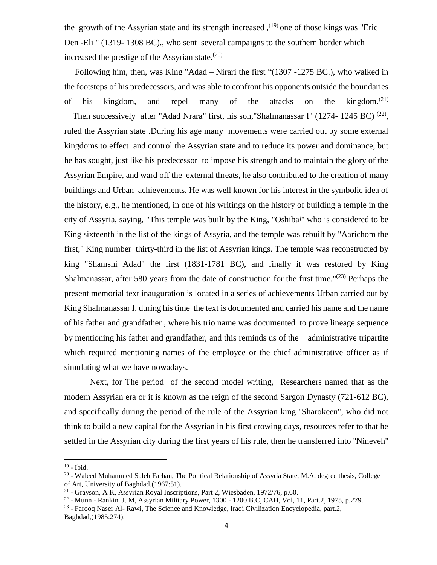the growth of the Assyrian state and its strength increased,  $(19)$  one of those kings was "Eric – Den -Eli " (1319- 1308 BC)., who sent several campaigns to the southern border which increased the prestige of the Assyrian state. $(20)$ 

 Following him, then, was King "Adad – Nirari the first "(1307 -1275 BC.), who walked in the footsteps of his predecessors, and was able to confront his opponents outside the boundaries of his kingdom, and repel many of the attacks on the kingdom.<sup> $(21)$ </sup> Then successively after "Adad Nrara" first, his son, "Shalmanassar I" (1274- 1245 BC)<sup>(22)</sup>, ruled the Assyrian state .During his age many movements were carried out by some external kingdoms to effect and control the Assyrian state and to reduce its power and dominance, but he has sought, just like his predecessor to impose his strength and to maintain the glory of the Assyrian Empire, and ward off the external threats, he also contributed to the creation of many buildings and Urban achievements. He was well known for his interest in the symbolic idea of the history, e.g., he mentioned, in one of his writings on the history of building a temple in the city of Assyria, saying, "This temple was built by the King, "Oshiba<sup>l</sup>" who is considered to be King sixteenth in the list of the kings of Assyria, and the temple was rebuilt by "Aarichom the first," King number thirty-third in the list of Assyrian kings. The temple was reconstructed by king "Shamshi Adad" the first (1831-1781 BC), and finally it was restored by King Shalmanassar, after 580 years from the date of construction for the first time."<sup>(23)</sup> Perhaps the present memorial text inauguration is located in a series of achievements Urban carried out by King Shalmanassar I, during his time the text is documented and carried his name and the name of his father and grandfather , where his trio name was documented to prove lineage sequence by mentioning his father and grandfather, and this reminds us of the administrative tripartite which required mentioning names of the employee or the chief administrative officer as if simulating what we have nowadays.

Next, for The period of the second model writing, Researchers named that as the modern Assyrian era or it is known as the reign of the second Sargon Dynasty (721-612 BC), and specifically during the period of the rule of the Assyrian king ''Sharokeen'', who did not think to build a new capital for the Assyrian in his first crowing days, resources refer to that he settled in the Assyrian city during the first years of his rule, then he transferred into ''Nineveh''

 $\overline{a}$ 

<sup>&</sup>lt;sup>19</sup> - Ibid.

 $20$  - Waleed Muhammed Saleh Farhan, The Political Relationship of Assyria State, M.A, degree thesis, College of Art, University of Baghdad,(1967:51).

<sup>&</sup>lt;sup>21</sup> - Grayson, A K, Assyrian Royal Inscriptions, Part 2, Wiesbaden, 1972/76, p.60.

<sup>22</sup> - Munn - Rankin. J. M, Assyrian Military Power, 1300 - 1200 B.C, CAH, Vol, 11, Part.2, 1975, p.279.

<sup>&</sup>lt;sup>23</sup> - Farooq Naser Al- Rawi, The Science and Knowledge, Iraqi Civilization Encyclopedia, part.2,

Baghdad,(1985:274).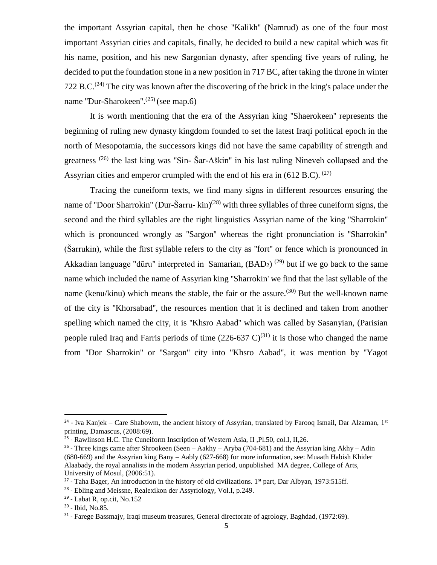the important Assyrian capital, then he chose ''Kalikh'' (Namrud) as one of the four most important Assyrian cities and capitals, finally, he decided to build a new capital which was fit his name, position, and his new Sargonian dynasty, after spending five years of ruling, he decided to put the foundation stone in a new position in 717 BC, after taking the throne in winter 722 B.C.<sup>(24)</sup> The city was known after the discovering of the brick in the king's palace under the name "Dur-Sharokeen".<sup>(25)</sup> (see map.6)

It is worth mentioning that the era of the Assyrian king ''Shaerokeen'' represents the beginning of ruling new dynasty kingdom founded to set the latest Iraqi political epoch in the north of Mesopotamia, the successors kings did not have the same capability of strength and greatness<sup>(26)</sup> the last king was "Sin- Šar-Aškin" in his last ruling Nineveh collapsed and the Assyrian cities and emperor crumpled with the end of his era in (612 B.C).  $^{(27)}$ 

Tracing the cuneiform texts, we find many signs in different resources ensuring the name of "Door Sharrokin" (Dur-Šarru- kin)<sup>(28)</sup> with three syllables of three cuneiform signs, the second and the third syllables are the right linguistics Assyrian name of the king ''Sharrokin'' which is pronounced wrongly as ''Sargon'' whereas the right pronunciation is ''Sharrokin''  $(\text{Sarrukin})$ , while the first syllable refers to the city as "fort" or fence which is pronounced in Akkadian language "dūru" interpreted in Samarian,  $(BAD<sub>2</sub>)$ <sup>(29)</sup> but if we go back to the same name which included the name of Assyrian king ''Sharrokin' we find that the last syllable of the name (kenu/kinu) which means the stable, the fair or the assure.<sup>(30)</sup> But the well-known name of the city is ''Khorsabad'', the resources mention that it is declined and taken from another spelling which named the city, it is ''Khsro Aabad'' which was called by Sasanyian, (Parisian people ruled Iraq and Farris periods of time  $(226-637 \text{ C})^{(31)}$  it is those who changed the name from ''Dor Sharrokin'' or ''Sargon'' city into ''Khsro Aabad'', it was mention by ''Yagot

 $\overline{\phantom{a}}$ 

<sup>&</sup>lt;sup>24</sup> - Iva Kanjek – Care Shabowm, the ancient history of Assyrian, translated by Farooq Ismail, Dar Alzaman, 1st printing, Damascus, (2008:69).

<sup>&</sup>lt;sup>25</sup> - Rawlinson H.C. The Cuneiform Inscription of Western Asia, II, Pl.50, col.I, II,26.

<sup>&</sup>lt;sup>26</sup> - Three kings came after Shrookeen (Seen – Aakhy – Aryba (704-681) and the Assyrian king Akhy – Adin (680-669) and the Assyrian king Bany – Aably (627-668) for more information, see: Muaath Habish Khider Alaabady, the royal annalists in the modern Assyrian period, unpublished MA degree, College of Arts, University of Mosul, (2006:51).

<sup>&</sup>lt;sup>27</sup> - Taha Bager, An introduction in the history of old civilizations. 1<sup>st</sup> part, Dar Albyan, 1973:515ff.

<sup>&</sup>lt;sup>28</sup> - Ebling and Meissne, Realexikon der Assyriology, Vol.I, p.249.

<sup>29</sup> - Labat R, op.cit, No.152

<sup>30</sup> - Ibid, No.85.

<sup>&</sup>lt;sup>31</sup> - Farege Bassmajy, Iraqi museum treasures, General directorate of agrology, Baghdad, (1972:69).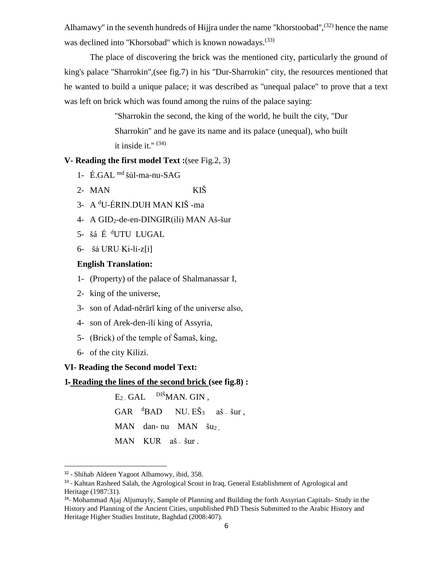Alhamawy" in the seventh hundreds of Hijjra under the name "khorstoobad", $^{(32)}$  hence the name was declined into "Khorsobad" which is known nowadays.<sup>(33)</sup>

The place of discovering the brick was the mentioned city, particularly the ground of king's palace ''Sharrokin'',(see fig.7) in his ''Dur-Sharrokin'' city, the resources mentioned that he wanted to build a unique palace; it was described as ''unequal palace'' to prove that a text was left on brick which was found among the ruins of the palace saying:

> ''Sharrokin the second, the king of the world, he built the city, ''Dur Sharrokin'' and he gave its name and its palace (unequal), who built it inside it." $(34)$

# **V- Reading the first model Text :**(see Fig.2, 3)

- 1- É.GAL md šùl-ma-nu-SAG
- 2- MAN KIŠ
- 3- A <sup>d</sup>U-ÉRIN.DUH MAN KIŠ -ma
- 4- A GID2-de-en-DINGIR(ili) MAN Aš-šur
- 5- šá É <sup>d</sup>UTU LUGAL
- 6- šá URU Ki-li-z[i]

## **English Translation:**

- 1- (Property) of the palace of Shalmanassar I,
- 2- king of the universe,
- 3- son of Adad-nērārī king of the universe also,
- 4- son of Arek-den-ili king of Assyria,
- 5- (Brick) of the temple of Šamaš, king,
- 6- of the city Kilizi.

 $\overline{a}$ 

## **VI- Reading the Second model Text:**

# **1ـ Reading the lines of the second brick (see fig.8) :**

 $E_2$  GAL  $\quad$  DIŠMAN. GIN,  $GAR$  <sup>d</sup>BAD NU.  $E\ddot{S}_3$  aš – šur, MAN dan- nu MAN  $\check{su}_2$ , MAN KUR aš – šur .

<sup>32</sup> - Shihab Aldeen Yagoot Alhamowy, ibid, 358.

<sup>33 -</sup> Kahtan Rasheed Salah, the Agrological Scout in Iraq, General Establishment of Agrological and Heritage (1987:31).

<sup>&</sup>lt;sup>34</sup>- Mohammad Ajaj Aljumayly, Sample of Planning and Building the forth Assyrian Capitals- Study in the History and Planning of the Ancient Cities, unpublished PhD Thesis Submitted to the Arabic History and Heritage Higher Studies Institute, Baghdad (2008:407).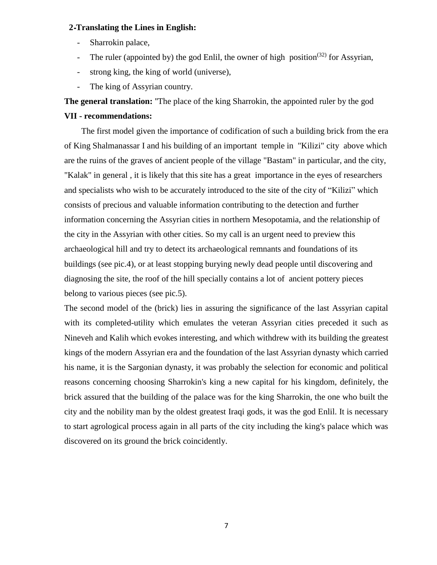### **2 ـTranslating the Lines in English:**

- Sharrokin palace,
- The ruler (appointed by) the god Enlil, the owner of high position<sup>(32)</sup> for Assyrian,
- strong king, the king of world (universe),
- The king of Assyrian country.

**The general translation:** ''The place of the king Sharrokin, the appointed ruler by the god

# **VII - recommendations:**

 The first model given the importance of codification of such a building brick from the era of King Shalmanassar I and his building of an important temple in "Kilizi" city above which are the ruins of the graves of ancient people of the village "Bastam" in particular, and the city, "Kalak" in general , it is likely that this site has a great importance in the eyes of researchers and specialists who wish to be accurately introduced to the site of the city of "Kilizi" which consists of precious and valuable information contributing to the detection and further information concerning the Assyrian cities in northern Mesopotamia, and the relationship of the city in the Assyrian with other cities. So my call is an urgent need to preview this archaeological hill and try to detect its archaeological remnants and foundations of its buildings (see pic.4), or at least stopping burying newly dead people until discovering and diagnosing the site, the roof of the hill specially contains a lot of ancient pottery pieces belong to various pieces (see pic.5).

The second model of the (brick) lies in assuring the significance of the last Assyrian capital with its completed-utility which emulates the veteran Assyrian cities preceded it such as Nineveh and Kalih which evokes interesting, and which withdrew with its building the greatest kings of the modern Assyrian era and the foundation of the last Assyrian dynasty which carried his name, it is the Sargonian dynasty, it was probably the selection for economic and political reasons concerning choosing Sharrokin's king a new capital for his kingdom, definitely, the brick assured that the building of the palace was for the king Sharrokin, the one who built the city and the nobility man by the oldest greatest Iraqi gods, it was the god Enlil. It is necessary to start agrological process again in all parts of the city including the king's palace which was discovered on its ground the brick coincidently.